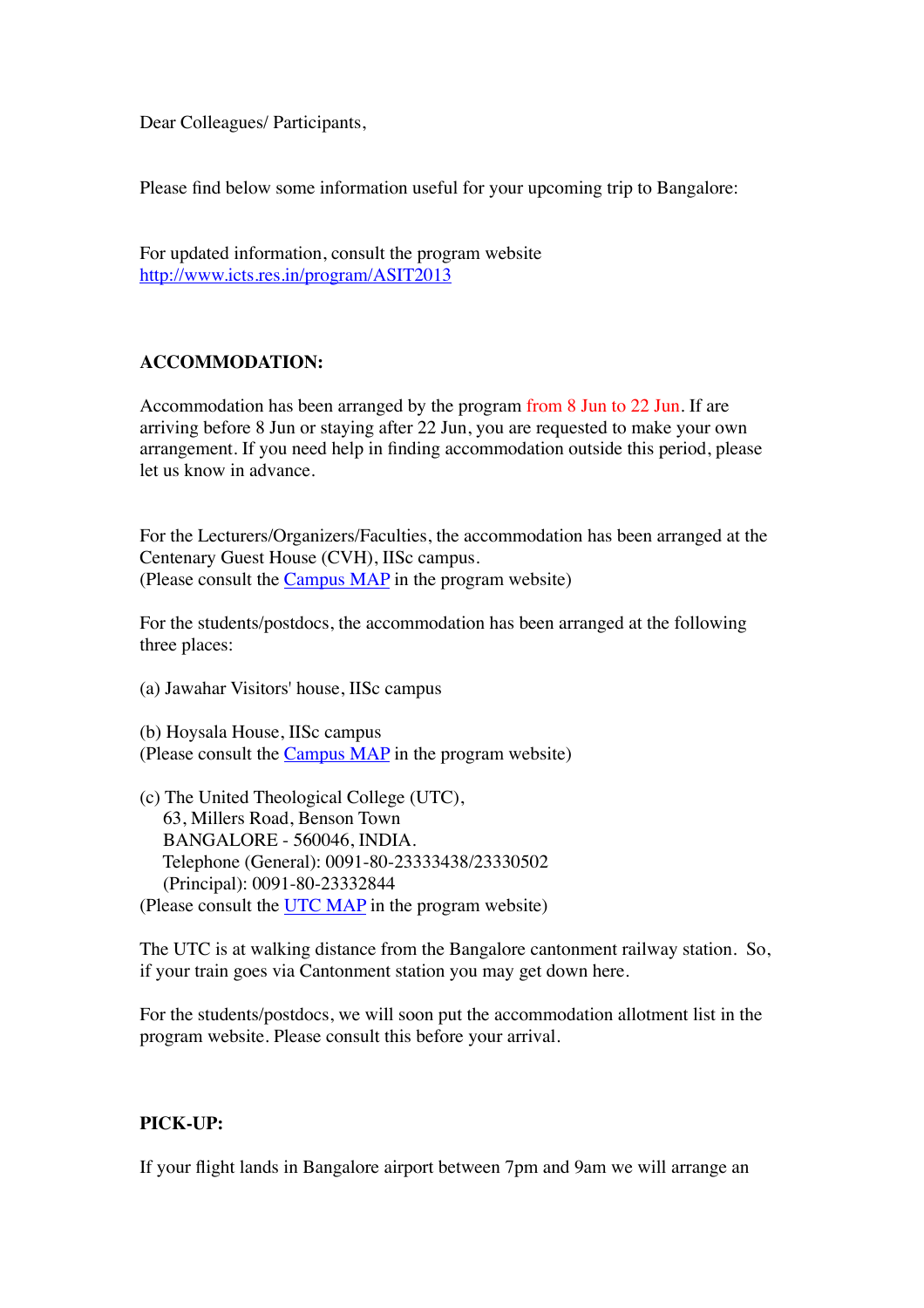Dear Colleagues/ Participants,

Please find below some information useful for your upcoming trip to Bangalore:

For updated information, consult the program website <http://www.icts.res.in/program/ASIT2013>

# **ACCOMMODATION:**

Accommodation has been arranged by the program from 8 Jun to 22 Jun. If are arriving before 8 Jun or staying after 22 Jun, you are requested to make your own arrangement. If you need help in finding accommodation outside this period, please let us know in advance.

For the Lecturers/Organizers/Faculties, the accommodation has been arranged at the Centenary Guest House (CVH), IISc campus. (Please consult the [Campus MAP](http://www.icts.res.in/media/uploads/Program/Files/map_1.pdf) in the program website)

For the students/postdocs, the accommodation has been arranged at the following three places:

(a) Jawahar Visitors' house, IISc campus

(b) Hoysala House, IISc campus (Please consult the [Campus MAP](http://www.icts.res.in/media/uploads/Program/Files/map_1.pdf) in the program website)

(c) The United Theological College (UTC), 63, Millers Road, Benson Town BANGALORE - 560046, INDIA." Telephone (General): 0091-80-23333438/23330502 (Principal): 0091-80-23332844 (Please consult the [UTC MAP](http://www.icts.res.in/media/uploads/Program/Files/utc.pdf) in the program website)

The UTC is at walking distance from the Bangalore cantonment railway station. So, if your train goes via Cantonment station you may get down here.

For the students/postdocs, we will soon put the accommodation allotment list in the program website. Please consult this before your arrival.

# **PICK-UP:**

If your flight lands in Bangalore airport between 7pm and 9am we will arrange an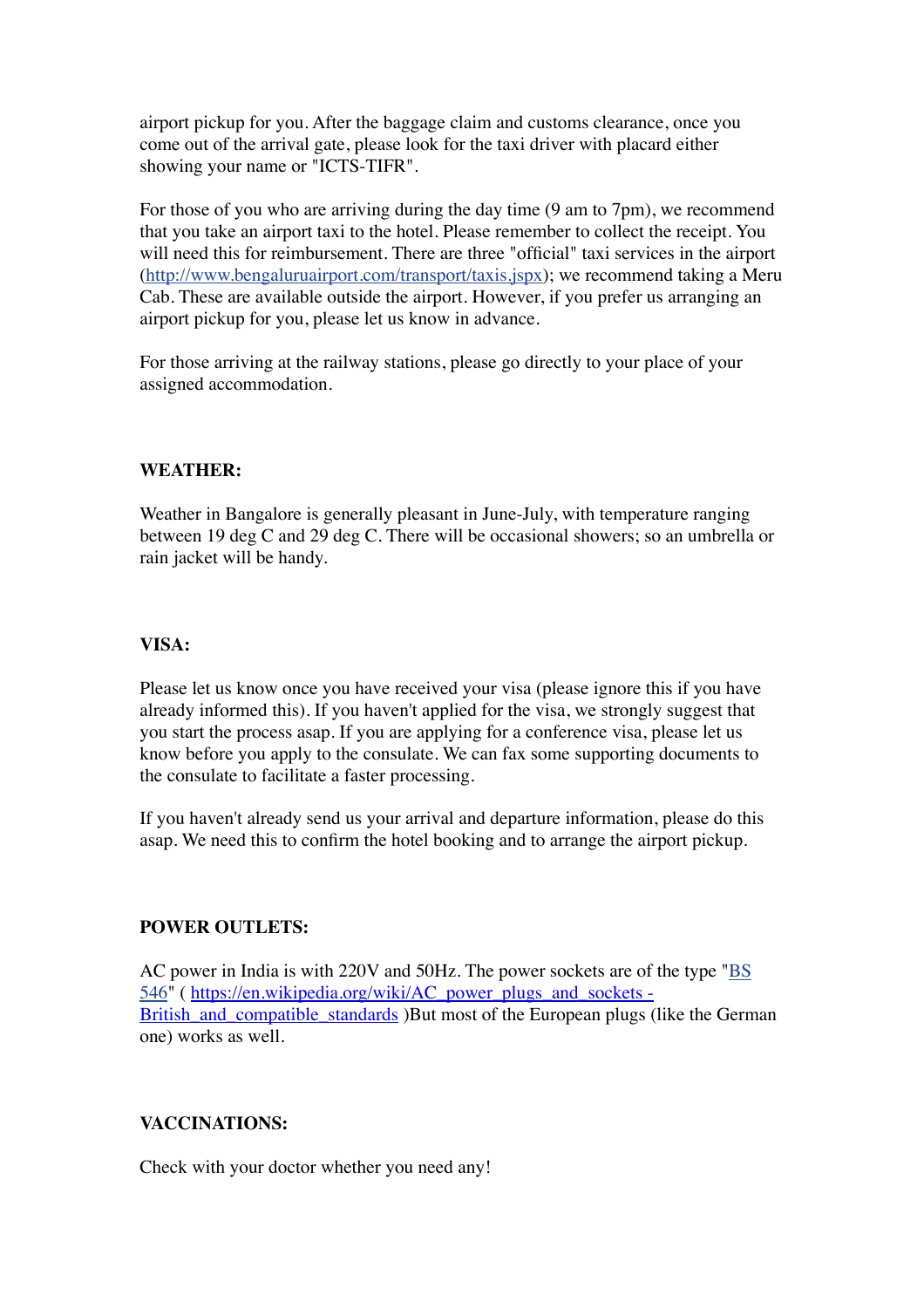airport pickup for you. After the baggage claim and customs clearance, once you come out of the arrival gate, please look for the taxi driver with placard either showing your name or "ICTS-TIFR".

For those of you who are arriving during the day time (9 am to 7pm), we recommend that you take an airport taxi to the hotel. Please remember to collect the receipt. You will need this for reimbursement. There are three "official" taxi services in the airport ([http://www.bengaluruairport.com/transport/taxis.jspx\)](http://www.bengaluruairport.com/transport/taxis.jspx); we recommend taking a Meru Cab. These are available outside the airport. However, if you prefer us arranging an airport pickup for you, please let us know in advance.

For those arriving at the railway stations, please go directly to your place of your assigned accommodation.

# **WEATHER:**

Weather in Bangalore is generally pleasant in June-July, with temperature ranging between 19 deg C and 29 deg C. There will be occasional showers; so an umbrella or rain jacket will be handy.

# **VISA:**

Please let us know once you have received your visa (please ignore this if you have already informed this). If you haven't applied for the visa, we strongly suggest that you start the process asap. If you are applying for a conference visa, please let us know before you apply to the consulate. We can fax some supporting documents to the consulate to facilitate a faster processing.

If you haven't already send us your arrival and departure information, please do this asap. We need this to confirm the hotel booking and to arrange the airport pickup.

# **POWER OUTLETS:**

AC power in India is with 220V and 50Hz. The power sockets are of the type ["BS](https://en.wikipedia.org/wiki/BS_546)  [546](https://en.wikipedia.org/wiki/BS_546)" ( [https://en.wikipedia.org/wiki/AC\\_power\\_plugs\\_and\\_sockets -](https://en.wikipedia.org/wiki/AC_power_plugs_and_sockets#British_and_compatible_standards)  British and compatible standards )But most of the European plugs (like the German one) works as well.

# **VACCINATIONS:**

Check with your doctor whether you need any!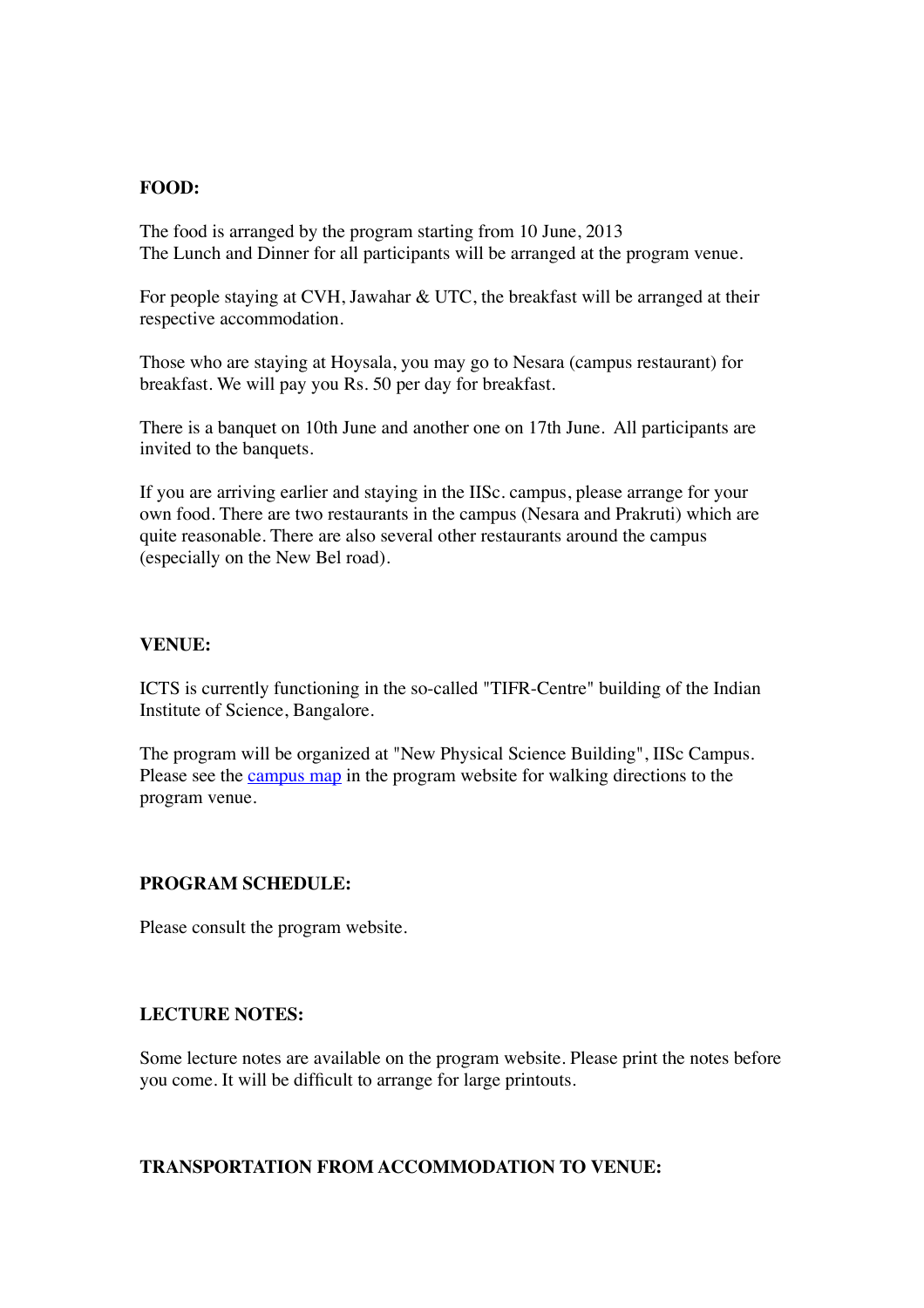### **FOOD:**

The food is arranged by the program starting from 10 June, 2013 The Lunch and Dinner for all participants will be arranged at the program venue.

For people staying at CVH, Jawahar & UTC, the breakfast will be arranged at their respective accommodation.

Those who are staying at Hoysala, you may go to Nesara (campus restaurant) for breakfast. We will pay you Rs. 50 per day for breakfast.

There is a banquet on 10th June and another one on 17th June. All participants are invited to the banquets.

If you are arriving earlier and staying in the IISc. campus, please arrange for your own food. There are two restaurants in the campus (Nesara and Prakruti) which are quite reasonable. There are also several other restaurants around the campus (especially on the New Bel road).

#### **VENUE:**

ICTS is currently functioning in the so-called "TIFR-Centre" building of the Indian Institute of Science, Bangalore.

The program will be organized at "New Physical Science Building", IISc Campus. Please see the [campus map](http://www.icts.res.in/media/uploads/Program/Files/map_1.pdf) in the program website for walking directions to the program venue.

# **PROGRAM SCHEDULE:**

Please consult the program website.

# **LECTURE NOTES:**

Some lecture notes are available on the program website. Please print the notes before you come. It will be difficult to arrange for large printouts.

# **TRANSPORTATION FROM ACCOMMODATION TO VENUE:**